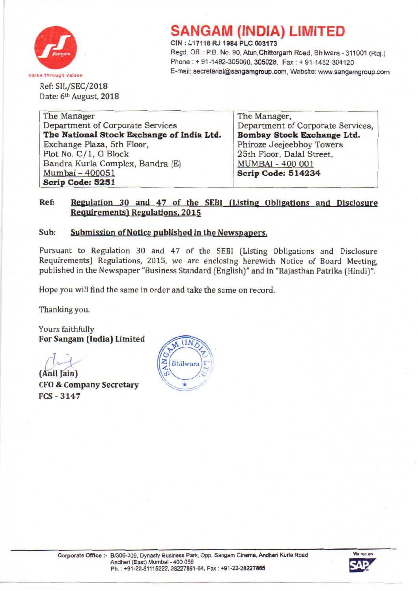

## **SANGAM (INDIA) LIMITED**

CIN: L17118 RJ 1984 PLC 003173

Regd. Off.: P.B. No. 90, Atun, Chittorgarh Road, Bhilwara - 311001 (Raj.) Phone: + 91-1482-305000, 305028, Fax: + 91-1482-304120 Value through values **E-mail:** secretarial@sangamgroup.com, Website: www.sangamgroup.com

Ref: SIL/SEC/2018 Date: 6<sup>th</sup> August, 2018

| The Manager,                      |
|-----------------------------------|
| Department of Corporate Services, |
| Bombay Stock Exchange Ltd.        |
| Phiroze Jeejeebhoy Towers         |
| 25th Floor, Dalal Street,         |
| <b>MUMBAI - 400 001</b>           |
| Scrip Code: 514234                |
|                                   |
|                                   |

### Ref: Regulation 30 and 47 of the SEBI (Listing Obligations and Disclosure Requirements) Regulations, 2015

### Sub: Submission of Notice published in the Newspapers.

Pursuant to Regulation 30 and 47 of the SEBI (Listing Obligations and Disclosure Requirements) Regulations. 2015, we are enclosing herewith Notice of Board Meeting, published in the Newspaper "Business Standard (English)" and in "Rajasthan Patrika (Hindi)".

Hope you will find the same in order and take the same on record.

Thanking you.

Yours faithfully For Sangam [India] Limited

(Anil Jain) CFO& Company Secretary FCS- 3147



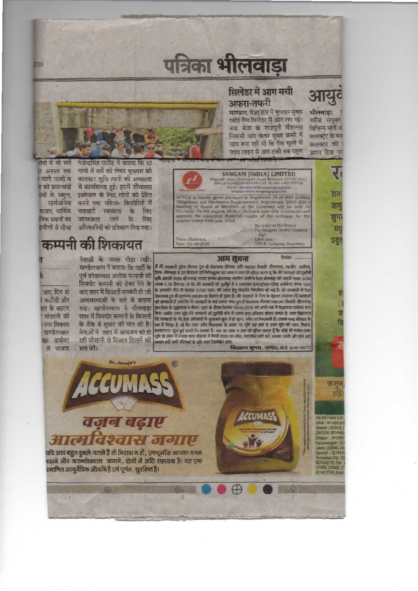# पत्रिका भीलवाड़ा

### सिलेंडर में आग मची अफरा-तफरी

माण्डल, मेजा ग्राम में बुधवार सुबह रसोई गैस सिलेंडर में आग लग गई। नया मेजा के राजपती मोहल्ला निवासी चांद कंवर सुबह कमरे में चाय बना रही थी कि गैस चल्हे से पाड़प लाइन से आग टंकी तक पहुंच भीलवाडा नर्सेज संयक्त विभिन्न मांगों व कलक्टेट के बार कलक्टर को

आयुद

जापन दिया गय

п

जाम् सहि

**RAJASTHAN S**  $-9414$ ait : 2626

 $-9414$ 

**ATON** : 921



٦ **SANGAM (INDIA) LIMITED** tegd.Off: Atun, Chittorgarh Road, Bhilwara-311001 (Raj.<br>CIN-L1711BRJ1904PLC003173, Ph.+91 1482 305028 रात NOTICE is hereby given pursuant to Regulation 29 of SEBI (Lista<br>Obligations and Disclosure Requirements) Regulations, 2015, that<br>Meeting of Board of Directors of the Company will be held a<br>Thursday, the 9th August, 2018 at जा शुग By order of the Board<br>For Sangam (India) Limited<br>Sd/- $^{\prime}$  Ht (Anii Jain)<br>CFO & Con Place: Bhilwara<br>Dite. 01-08-2016 प्रयु

#### अाम सूचना

गांवों में सर्वे को लेकर बुधवार को कलक्टर शुचि त्यागी की अध्यक्षता । वाले राज्यों व र को प्रधानमंत्री में कार्याशाला हुई। इसमें शौचालय ांवों के स्कूल, इस्तेमाल के लिए लोगों को प्रेरित सार्वजनिक करने तथा महिला- किशोरियों में बाजार, धार्मिक माहवारी स्वच्छता के लिए निक स्थानों का जागरुकता लाने के लिए गमीणों से सीधा अधिकारियों को प्रशिक्षण दिया गया।

कम्पनी की शिकायत

आए दिन हो किटौती और रल के कारण परेशानी को । नगर विकास खण्डेलवाल पक्ष दामोदर में भाजपा

**DIS** 

नेताओं के समक्ष पीडा रखी। मांग की।

नेताओं के समक्ष पाड़ा रखा।<br>खण्डेलवाल ने बताया कि पार्टी के *बैं मेरे ब*बकारी हुटेर नौरूसा पुत्र श्री पेक्सम्प बोलसा जाते महाजा रिक्टी- यौलामद, क्लोल- अतील<br>पूर्व प्रदेशाध्यक्ष अशोक परनामी को किन-सेलवाड़ा ते प्रत केवला क्लि वाद शहर में विजली सम्वंधी हो रही कि अलगत तक के बनके 01/06/1884 का उद्याग हुतु लक्कड लब्बाइत का गई है। मेर व्यव<br>अव्यवस्थाओं के बारे में बताया को कहनान कि मेर कानक महाना के इंगल हो पूछा है। मेरे व्यवस्था के वित के बेहाल उपक नेताओं ने शहर में आमजन को हो हल्लंडरण खुर्ष इर्र करने पर अपन्न है। अतः हर खास व आन को सूचन करता है कि कोई में व्यक्ति उव<br>रही परेशानी से निजात दिलाने की <sub>ह</sub>ल्लंड संबंध में प्रकाश चन्द्र जैतखा से किसी प्रकार का सैन, संव्यव

' निशाल गुप्ता, एडवेकेट, ले.बे. 94141-18077

ACCUMAS वजन बढ़ाए **CROIN** JOIN **JIIGI** यदि आप बहुत दुबले-पतले हैं तो निराश न हों, एक्यूमॉस आपका वजन बढ़ाने और आत्मविश्वास जगाने, दोनों में अति सहायक है। यह एक

रमाणित आयुर्वेदिक औषधि है एवं पूर्णत : सुरक्षित है

638

**®**